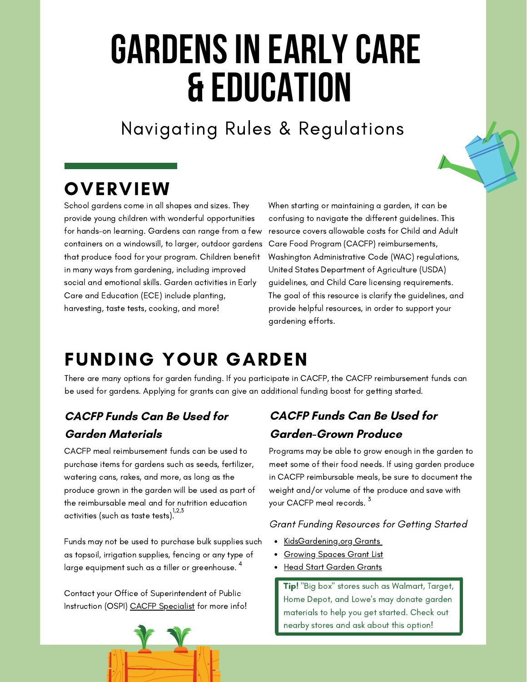# **GARDENS IN EARLY CARE & Education**

Navigating Rules & Regulations

## **OVERVIEW**

School gardens come in all shapes and sizes. They provide young children with wonderful opportunities for hands-on learning. Gardens can range from a few containers on a windowsill, to larger, outdoor gardens that produce food for your program. Children benefit in many ways from gardening, including improved social and emotional skills. Garden activities in Early Care and Education (ECE) include planting, harvesting, taste tests, cooking, and more!

When starting or maintaining a garden, it can be confusing to navigate the different guidelines. This resource covers allowable costs for Child and Adult Care Food Program (CACFP) reimbursements, Washington Administrative Code (WAC) regulations, United States Department of Agriculture (USDA) guidelines, and Child Care licensing requirements. The goal of this resource is clarify the guidelines, and provide helpful resources, in order to support your gardening efforts.

## FUNDING YOUR GARDEN

There are many options for garden funding. If you participate in CACFP, the CACFP reimbursement funds can be used for gardens. Applying for grants can give an additional funding boost for getting started.

## **CACFP Funds Can Be Used for Garden Materials**

CACFP meal reimbursement funds can be used to purchase items for gardens such as seeds, fertilizer, watering cans, rakes, and more, as long as the produce grown in the garden will be used as part of the reimbursable meal and for nutrition education activities (such as taste tests). $^{!,2,3}_\cdot$ 

Funds may not be used to purchase bulk supplies such as topsoil, irrigation supplies, fencing or any type of large equipment such as a tiller or greenhouse.  $^4\,$ 

Contact your Office of [Superintendent](https://www.k12.wa.us/policy-funding/child-nutrition/child-nutrition-contacts#ChildandAdultCareFoodProgram) of Public Instruction (OSPI[\)](https://www.k12.wa.us/policy-funding/child-nutrition/child-nutrition-contacts#ChildandAdultCareFoodProgram) CACFP [Specialist](https://www.k12.wa.us/policy-funding/child-nutrition/child-nutrition-contacts#ChildandAdultCareFoodProgram) for more info!

## **CACFP Funds Can Be Used for Garden-Grown Produce**

Programs may be able to grow enough in the garden to meet some of their food needs. If using garden produce in CACFP reimbursable meals, be sure to document the weight and/or volume of the produce and save with your CACFP meal records. <sup>3</sup>

## Grant Funding Resources for Getting Started

- [KidsGardening.org](https://kidsgardening.org/grant-opportunities/) Grants
- [Growing](https://growingspaces.com/gardening-grants/#school) Spaces Grant List
- Head Start [Garden](https://www.nhsa.org/our-work/current-initiatives/gro-more-gardens/) Grants

**Tip!** "Big box" stores such as Walmart, Target, Home Depot, and Lowe's may donate garden materials to help you get started. Check out nearby stores and ask about this option!

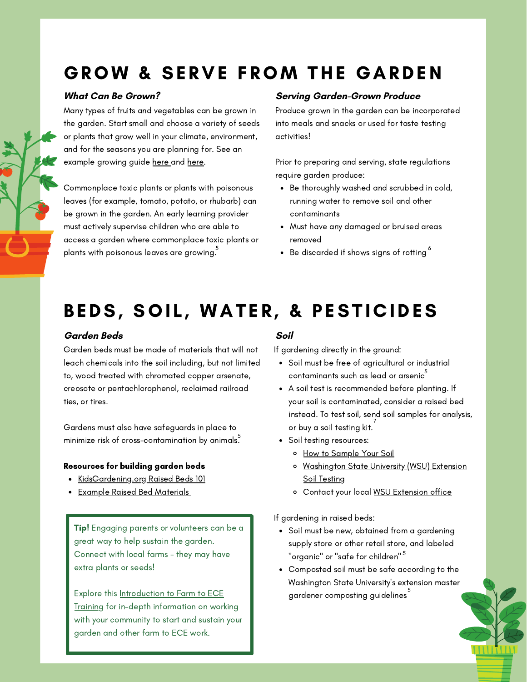## GROW & SERVE FROM THE GARDEN

## **What Can Be Grown?**

Many types of fruits and vegetables can be grown in the garden. Start small and choose a variety of seeds or plants that grow well in your climate, environment, and for the seasons you are planning for. See an example growing guide [here](https://waf2snetwork.files.wordpress.com/2022/01/growing-guide.pdf) and [here.](https://files.constantcontact.com/e5582ed6201/bbb05ac4-e02c-42b8-8b6b-66951a0c1759.pdf)

Commonplace toxic plants or plants with poisonous leaves (for example, tomato, potato, or rhubarb) can be grown in the garden. An early learning provider must actively supervise children who are able to access a garden where commonplace toxic plants or plants with poisonous leaves are growing.

### **Serving Garden-Grown Produce**

Produce grown in the garden can be incorporated into meals and snacks or used for taste testing activities!

Prior to preparing and serving, state regulations require garden produce:

- Be thoroughly washed and scrubbed in cold, running water to remove soil and other contaminants
- Must have any damaged or bruised areas removed
- $\frac{5}{5}$  e Be discarded if shows signs of rotting  $^6$

## BEDS, SOIL, WATER, & PESTICIDES

## **Garden Beds Soil**

Garden beds must be made of materials that will not leach chemicals into the soil including, but not limited to, wood treated with chromated copper arsenate, creosote or pentachlorophenol, reclaimed railroad ties, or tires.

Gardens must also have safeguards in place to minimize risk of cross-contamination by animals. $\overset{5}{\cdot}$ 

### Resources for building garden beds

- [KidsGardening.org](https://kidsgardening.org/resources/designing-a-school-garden-raised-beds-101-2/) Raised Beds 101
- Example Raised Bed [Materials](https://kidsgardening.wpengine.com/wp-content/uploads/2016/05/KG_RaisedBedComparison.pdf)

Tip! Engaging parents or volunteers can be a great way to help sustain the garden. Connect with local farms - they may have extra plants or seeds!

Explore this [Introduction](https://nourished-active-early-learning-trainings.thinkific.com/courses/2022-farm-to-early-care-and-education-growing-minds-and-healthy-appetites) to Farm to ECE Training for in-depth information on working with your community to start and sustain your garden and other farm to ECE work.

If gardening directly in the ground:

- Soil must be free of agricultural or industrial contaminants such as lead or arsenic $\stackrel{5}{\circ}$
- A soil test is recommended before planting. If your soil is contaminated, consider a raised bed instead. To test soil, send soil samples for analysis, or buy a soil testing kit.<sup>7</sup>
- Soil testing resources:
	- o How to [Sample](https://ecology.wa.gov/Spills-Cleanup/Contamination-cleanup/Dirt-Alert-program/Soil-sampling) Your Soil
	- o [Washington](https://foodsystems.wsu.edu/ecological-soil-management/soil-testing/) State University (WSU) Extension Soil Testing
	- o Contact your local WSU [Extension](https://extension.wsu.edu/locations/) office

If gardening in raised beds:

- Soil must be new, obtained from a gardening supply store or other retail store, and labeled "organic" or "safe for children" <sup>5</sup>
- Composted soil must be safe according to the Washington State University's extension master gardener [composting](https://pubs.extension.wsu.edu/backyard-composting) guidelines 5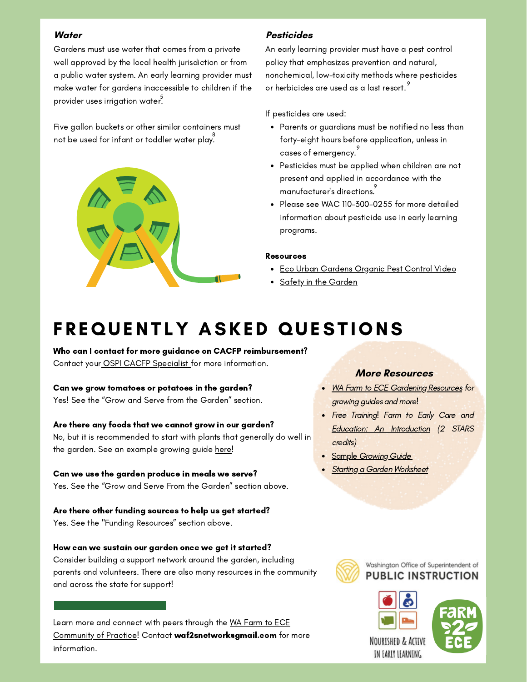### **Water**

Gardens must use water that comes from a private well approved by the local health jurisdiction or from a public water system. An early learning provider must make water for gardens inaccessible to children if the provider uses irrigation water. 5

Five gallon buckets or other similar containers must not be used for infant or toddler water play. $\overset{8}{\text{ }}$ 



## **Pesticides**

An early learning provider must have a pest control policy that emphasizes prevention and natural, nonchemical, low-toxicity methods where pesticides or herbicides are used as a last resort. $^\circ$ 

If pesticides are used:

- Parents or guardians must be notified no less than forty-eight hours before application, unless in  $\,$  cases of emergency. $\,$
- Pesticides must be applied when children are not present and applied in accordance with the manufacturer's directions. 9
- Please see WAC [110-300-0255](https://app.leg.wa.gov/wac/default.aspx?cite=110-300-0255) for more detailed information about pesticide use in early learning programs.

### Resources

- **Eco Urban [Gardens](https://www.youtube.com/watch?v=s4YrbF1NOss) Organic Pest Control Video**
- Safety in the [Garden](https://cdn.shopify.com/s/files/1/0145/8808/4272/files/A3905-07.pdf)

## FREQUENTLY ASKED QUESTIONS

Who can I contact for more guidance on CACFP reimbursement? Contact your [OSPI](https://www.k12.wa.us/policy-funding/child-nutrition/child-nutrition-contacts#ChildandAdultCareFoodProgram) CACFP [Specialist](https://www.k12.wa.us/policy-funding/child-nutrition/child-nutrition-contacts#ChildandAdultCareFoodProgram) for more information.

Can we grow tomatoes or potatoes in the garden?

Yes! See the "Grow and Serve from the Garden" section.

## Are there any foods that we cannot grow in our garden?

No, but it is recommended to start with plants that generally do well in the garden. See an example growing guide [here](https://waf2snetwork.files.wordpress.com/2022/01/growing-guide.pdf)!

Can we use the garden produce in meals we serve? Yes. See the "Grow and Serve From the Garden" section above.

Are there other funding sources to help us get started? Yes. See the "Funding Resources" section above.

### How can we sustain our garden once we get it started?

Consider building a support network around the garden, including parents and volunteers. There are also many resources in the community and across the state for support!

Learn more and connect with peers through the WA Farm to ECE Community of Practice! Contact [waf2snetwork@gmail.com](https://wafarmtoschoolnetwork.org/communities-of-practice/farm-to-childcare-ece/community-of-practice/) for more information.

## **More Resources**

- WA Farm to ECE [Gardening](https://wafarmtoschoolnetwork.org/communities-of-practice/farm-to-childcare-ece/gardening/) Re[s](https://wafarmtoschoolnetwork.org/communities-of-practice/farm-to-childcare-ece/gardening/)ources for growing guides and more!
- Free Training! Farm to Early Care and Education: An [Introduction](https://nourished-active-early-learning-trainings.thinkific.com/courses/2022-farm-to-early-care-and-education-growing-minds-and-healthy-appetites) (2 STARS credits)
- Sample [Growing](https://waf2snetwork.files.wordpress.com/2022/01/growing-guide.pdf) Guide
- Starting a Garden [Worksheet](https://waf2snetwork.files.wordpress.com/2021/12/starting_a_garden_-step_by_step.pdf)



Washington Office of Superintendent of **PUBLIC INSTRUCTION**